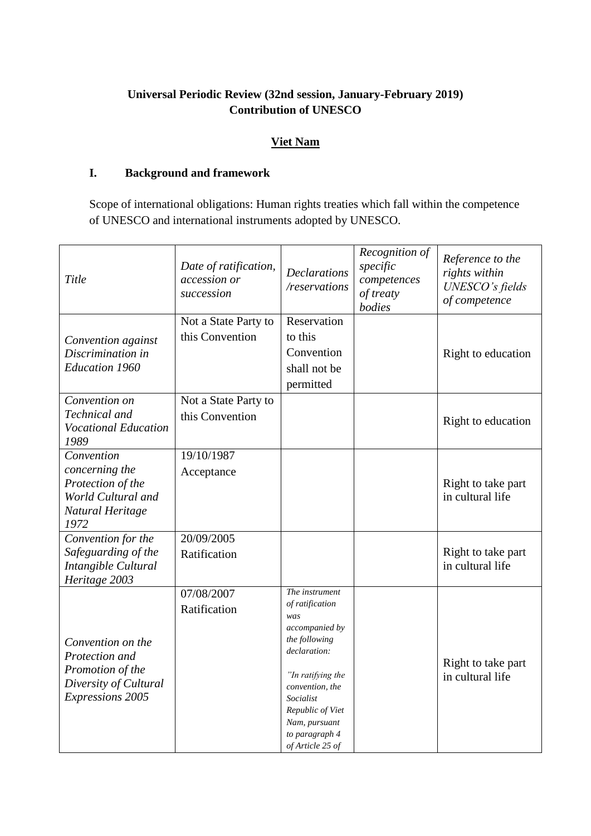# **Universal Periodic Review (32nd session, January-February 2019) Contribution of UNESCO**

## **Viet Nam**

## **I. Background and framework**

Scope of international obligations: Human rights treaties which fall within the competence of UNESCO and international instruments adopted by UNESCO.

| Title                                                                                                       | Date of ratification,<br>accession or<br>succession | <b>Declarations</b><br>/reservations                                                                                                                                                                                        | Recognition of<br>specific<br>competences<br>of treaty<br>bodies | Reference to the<br>rights within<br>UNESCO's fields<br>of competence |
|-------------------------------------------------------------------------------------------------------------|-----------------------------------------------------|-----------------------------------------------------------------------------------------------------------------------------------------------------------------------------------------------------------------------------|------------------------------------------------------------------|-----------------------------------------------------------------------|
| Convention against<br>Discrimination in<br><b>Education 1960</b>                                            | Not a State Party to<br>this Convention             | Reservation<br>to this<br>Convention<br>shall not be<br>permitted                                                                                                                                                           |                                                                  | Right to education                                                    |
| Convention on<br>Technical and<br><b>Vocational Education</b><br>1989                                       | Not a State Party to<br>this Convention             |                                                                                                                                                                                                                             |                                                                  | Right to education                                                    |
| Convention<br>concerning the<br>Protection of the<br>World Cultural and<br>Natural Heritage<br>1972         | 19/10/1987<br>Acceptance                            |                                                                                                                                                                                                                             |                                                                  | Right to take part<br>in cultural life                                |
| Convention for the<br>Safeguarding of the<br>Intangible Cultural<br>Heritage 2003                           | 20/09/2005<br>Ratification                          |                                                                                                                                                                                                                             |                                                                  | Right to take part<br>in cultural life                                |
| Convention on the<br>Protection and<br>Promotion of the<br>Diversity of Cultural<br><b>Expressions 2005</b> | 07/08/2007<br>Ratification                          | The instrument<br>of ratification<br>was<br>accompanied by<br>the following<br>declaration:<br>"In ratifying the<br>convention, the<br>Socialist<br>Republic of Viet<br>Nam, pursuant<br>to paragraph 4<br>of Article 25 of |                                                                  | Right to take part<br>in cultural life                                |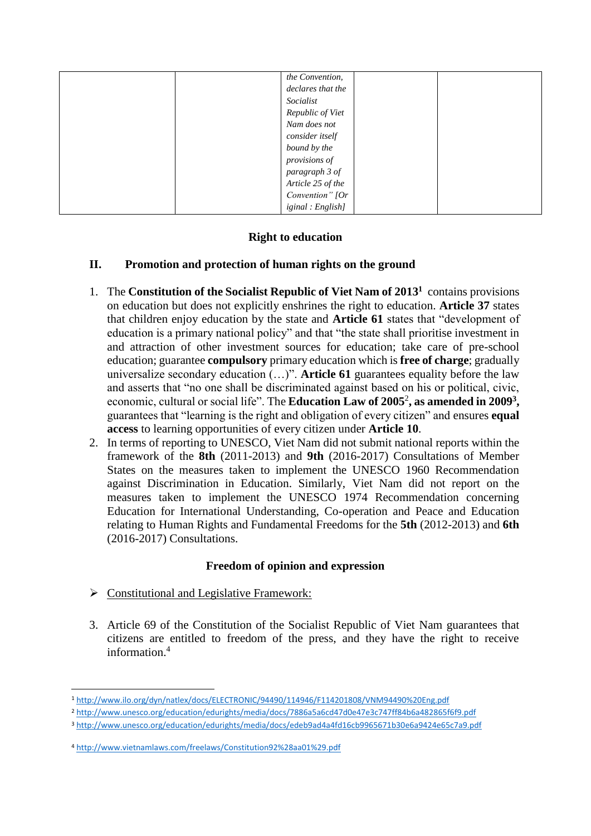| the Convention,   |  |
|-------------------|--|
| declares that the |  |
| Socialist         |  |
| Republic of Viet  |  |
| Nam does not      |  |
| consider itself   |  |
| bound by the      |  |
| provisions of     |  |
| paragraph 3 of    |  |
| Article 25 of the |  |
| Convention" [Or   |  |
| iginal : English] |  |

## **Right to education**

## **II. Promotion and protection of human rights on the ground**

- 1. The **Constitution of the Socialist Republic of Viet Nam of 2013<sup>1</sup>** contains provisions on education but does not explicitly enshrines the right to education. **Article 37** states that children enjoy education by the state and **Article 61** states that "development of education is a primary national policy" and that "the state shall prioritise investment in and attraction of other investment sources for education; take care of pre-school education; guarantee **compulsory** primary education which is **free of charge**; gradually universalize secondary education (…)". **Article 61** guarantees equality before the law and asserts that "no one shall be discriminated against based on his or political, civic, economic, cultural or social life". The **Education Law of 2005**<sup>2</sup> **, as amended in 2009<sup>3</sup> ,** guarantees that "learning is the right and obligation of every citizen" and ensures **equal access** to learning opportunities of every citizen under **Article 10**.
- 2. In terms of reporting to UNESCO, Viet Nam did not submit national reports within the framework of the **8th** (2011-2013) and **9th** (2016-2017) Consultations of Member States on the measures taken to implement the UNESCO 1960 Recommendation against Discrimination in Education. Similarly, Viet Nam did not report on the measures taken to implement the UNESCO 1974 Recommendation concerning Education for International Understanding, Co-operation and Peace and Education relating to Human Rights and Fundamental Freedoms for the **5th** (2012-2013) and **6th** (2016-2017) Consultations.

## **Freedom of opinion and expression**

- $\triangleright$  Constitutional and Legislative Framework:
- 3. Article 69 of the Constitution of the Socialist Republic of Viet Nam guarantees that citizens are entitled to freedom of the press, and they have the right to receive information.<sup>4</sup>

 $\overline{a}$ <sup>1</sup> <http://www.ilo.org/dyn/natlex/docs/ELECTRONIC/94490/114946/F114201808/VNM94490%20Eng.pdf>

<sup>2</sup> <http://www.unesco.org/education/edurights/media/docs/7886a5a6cd47d0e47e3c747ff84b6a482865f6f9.pdf>

<sup>3</sup> <http://www.unesco.org/education/edurights/media/docs/edeb9ad4a4fd16cb9965671b30e6a9424e65c7a9.pdf>

<sup>4</sup> <http://www.vietnamlaws.com/freelaws/Constitution92%28aa01%29.pdf>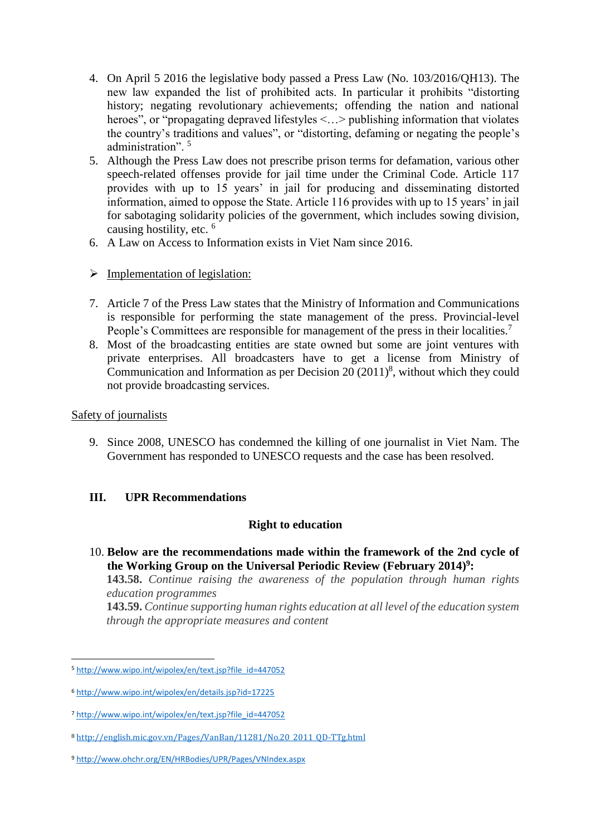- 4. On April 5 2016 the legislative body passed a Press Law (No. 103/2016/QH13). The new law expanded the list of prohibited acts. In particular it prohibits "distorting history; negating revolutionary achievements; offending the nation and national heroes", or "propagating depraved lifestyles <...> publishing information that violates the country's traditions and values", or "distorting, defaming or negating the people's administration". <sup>5</sup>
- 5. Although the Press Law does not prescribe prison terms for defamation, various other speech-related offenses provide for jail time under the Criminal Code. Article 117 provides with up to 15 years' in jail for producing and disseminating distorted information, aimed to oppose the State. Article 116 provides with up to 15 years' in jail for sabotaging solidarity policies of the government, which includes sowing division, causing hostility, etc. <sup>6</sup>
- 6. A Law on Access to Information exists in Viet Nam since 2016.
- $\triangleright$  Implementation of legislation:
- 7. Article 7 of the Press Law states that the Ministry of Information and Communications is responsible for performing the state management of the press. Provincial-level People's Committees are responsible for management of the press in their localities.<sup>7</sup>
- 8. Most of the broadcasting entities are state owned but some are joint ventures with private enterprises. All broadcasters have to get a license from Ministry of Communication and Information as per Decision  $20(2011)^8$ , without which they could not provide broadcasting services.

## Safety of journalists

1

9. Since 2008, UNESCO has condemned the killing of one journalist in Viet Nam. The Government has responded to UNESCO requests and the case has been resolved.

## **III. UPR Recommendations**

## **Right to education**

10. **Below are the recommendations made within the framework of the 2nd cycle of the Working Group on the Universal Periodic Review (February 2014) 9 :**

**143.58.** *Continue raising the awareness of the population through human rights education programmes*

**143.59.** *Continue supporting human rights education at all level of the education system through the appropriate measures and content*

<sup>5</sup> [http://www.wipo.int/wipolex/en/text.jsp?file\\_id=447052](http://www.wipo.int/wipolex/en/text.jsp?file_id=447052)

<sup>6</sup> <http://www.wipo.int/wipolex/en/details.jsp?id=17225>

<sup>7</sup> [http://www.wipo.int/wipolex/en/text.jsp?file\\_id=447052](http://www.wipo.int/wipolex/en/text.jsp?file_id=447052)

<sup>8</sup> [http://english.mic.gov.vn/Pages/VanBan/11281/No.20\\_2011\\_QD-TTg.html](http://english.mic.gov.vn/Pages/VanBan/11281/No.20_2011_QD-TTg.html)

<sup>9</sup> <http://www.ohchr.org/EN/HRBodies/UPR/Pages/VNIndex.aspx>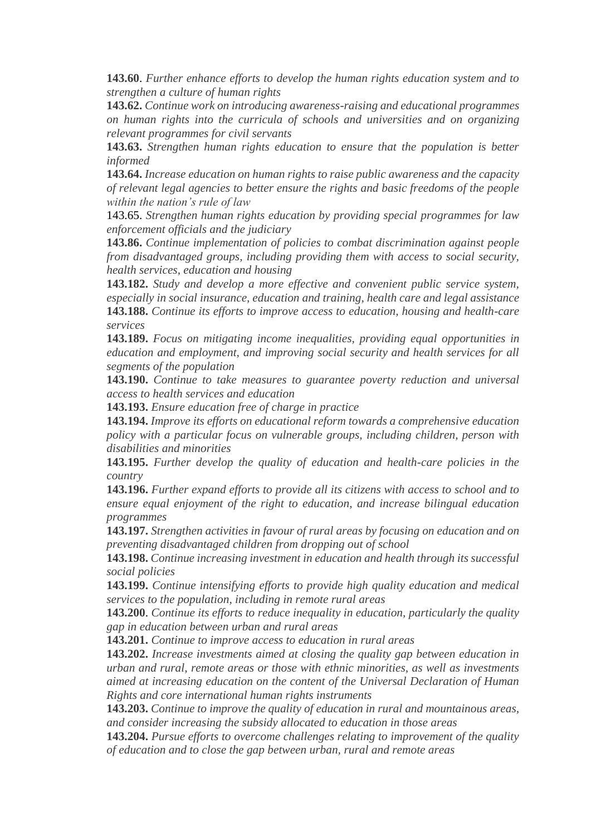**143.60**. *Further enhance efforts to develop the human rights education system and to strengthen a culture of human rights*

**143.62.** *Continue work on introducing awareness-raising and educational programmes on human rights into the curricula of schools and universities and on organizing relevant programmes for civil servants*

**143.63.** *Strengthen human rights education to ensure that the population is better informed*

**143.64.** *Increase education on human rights to raise public awareness and the capacity of relevant legal agencies to better ensure the rights and basic freedoms of the people within the nation's rule of law*

143.65. *Strengthen human rights education by providing special programmes for law enforcement officials and the judiciary*

**143.86.** *Continue implementation of policies to combat discrimination against people from disadvantaged groups, including providing them with access to social security, health services, education and housing*

**143.182.** *Study and develop a more effective and convenient public service system, especially in social insurance, education and training, health care and legal assistance* **143.188.** *Continue its efforts to improve access to education, housing and health-care services*

**143.189.** *Focus on mitigating income inequalities, providing equal opportunities in education and employment, and improving social security and health services for all segments of the population*

**143.190.** *Continue to take measures to guarantee poverty reduction and universal access to health services and education*

**143.193.** *Ensure education free of charge in practice*

**143.194.** *Improve its efforts on educational reform towards a comprehensive education policy with a particular focus on vulnerable groups, including children, person with disabilities and minorities*

**143.195.** *Further develop the quality of education and health-care policies in the country*

**143.196.** *Further expand efforts to provide all its citizens with access to school and to ensure equal enjoyment of the right to education, and increase bilingual education programmes*

**143.197.** *Strengthen activities in favour of rural areas by focusing on education and on preventing disadvantaged children from dropping out of school*

**143.198.** *Continue increasing investment in education and health through its successful social policies*

**143.199.** *Continue intensifying efforts to provide high quality education and medical services to the population, including in remote rural areas*

**143.200**. *Continue its efforts to reduce inequality in education, particularly the quality gap in education between urban and rural areas*

**143.201.** *Continue to improve access to education in rural areas*

**143.202.** *Increase investments aimed at closing the quality gap between education in urban and rural, remote areas or those with ethnic minorities, as well as investments aimed at increasing education on the content of the Universal Declaration of Human Rights and core international human rights instruments*

**143.203.** *Continue to improve the quality of education in rural and mountainous areas, and consider increasing the subsidy allocated to education in those areas*

**143.204.** *Pursue efforts to overcome challenges relating to improvement of the quality of education and to close the gap between urban, rural and remote areas*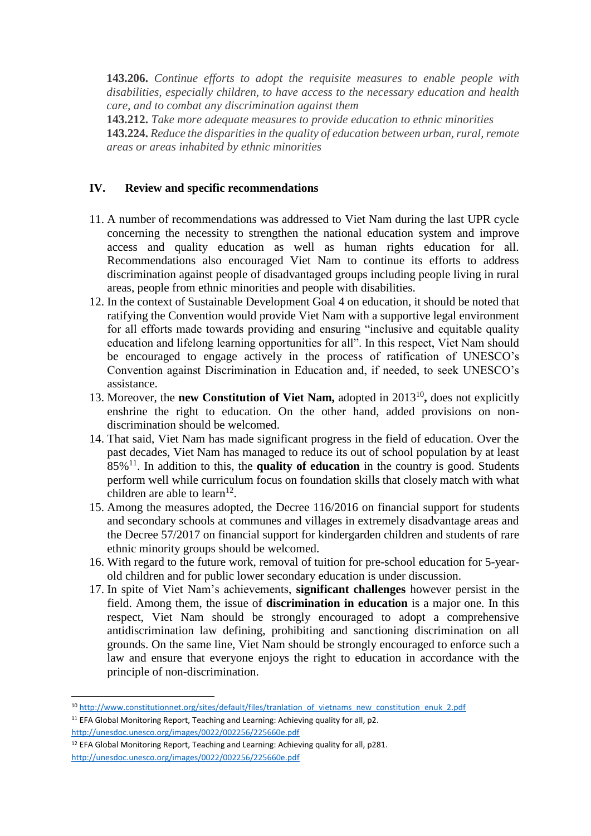**143.206.** *Continue efforts to adopt the requisite measures to enable people with disabilities, especially children, to have access to the necessary education and health care, and to combat any discrimination against them*

**143.212.** *Take more adequate measures to provide education to ethnic minorities* **143.224.** *Reduce the disparities in the quality of education between urban, rural, remote areas or areas inhabited by ethnic minorities*

#### **IV. Review and specific recommendations**

- 11. A number of recommendations was addressed to Viet Nam during the last UPR cycle concerning the necessity to strengthen the national education system and improve access and quality education as well as human rights education for all. Recommendations also encouraged Viet Nam to continue its efforts to address discrimination against people of disadvantaged groups including people living in rural areas, people from ethnic minorities and people with disabilities.
- 12. In the context of Sustainable Development Goal 4 on education, it should be noted that ratifying the Convention would provide Viet Nam with a supportive legal environment for all efforts made towards providing and ensuring "inclusive and equitable quality education and lifelong learning opportunities for all". In this respect, Viet Nam should be encouraged to engage actively in the process of ratification of UNESCO's Convention against Discrimination in Education and, if needed, to seek UNESCO's assistance.
- 13. Moreover, the **new Constitution of Viet Nam,** adopted in 2013<sup>10</sup>, does not explicitly enshrine the right to education. On the other hand, added provisions on nondiscrimination should be welcomed.
- 14. That said, Viet Nam has made significant progress in the field of education. Over the past decades, Viet Nam has managed to reduce its out of school population by at least 85%<sup>11</sup>. In addition to this, the **quality of education** in the country is good. Students perform well while curriculum focus on foundation skills that closely match with what children are able to learn<sup>12</sup>.
- 15. Among the measures adopted, the Decree 116/2016 on financial support for students and secondary schools at communes and villages in extremely disadvantage areas and the Decree 57/2017 on financial support for kindergarden children and students of rare ethnic minority groups should be welcomed.
- 16. With regard to the future work, removal of tuition for pre-school education for 5-yearold children and for public lower secondary education is under discussion.
- 17. In spite of Viet Nam's achievements, **significant challenges** however persist in the field. Among them, the issue of **discrimination in education** is a major one. In this respect, Viet Nam should be strongly encouraged to adopt a comprehensive antidiscrimination law defining, prohibiting and sanctioning discrimination on all grounds. On the same line, Viet Nam should be strongly encouraged to enforce such a law and ensure that everyone enjoys the right to education in accordance with the principle of non-discrimination.

**.** 

<sup>10</sup> [http://www.constitutionnet.org/sites/default/files/tranlation\\_of\\_vietnams\\_new\\_constitution\\_enuk\\_2.pdf](http://www.constitutionnet.org/sites/default/files/tranlation_of_vietnams_new_constitution_enuk_2.pdf)

<sup>&</sup>lt;sup>11</sup> EFA Global Monitoring Report, Teaching and Learning: Achieving quality for all, p2. <http://unesdoc.unesco.org/images/0022/002256/225660e.pdf>

<sup>12</sup> EFA Global Monitoring Report, Teaching and Learning: Achieving quality for all, p281. <http://unesdoc.unesco.org/images/0022/002256/225660e.pdf>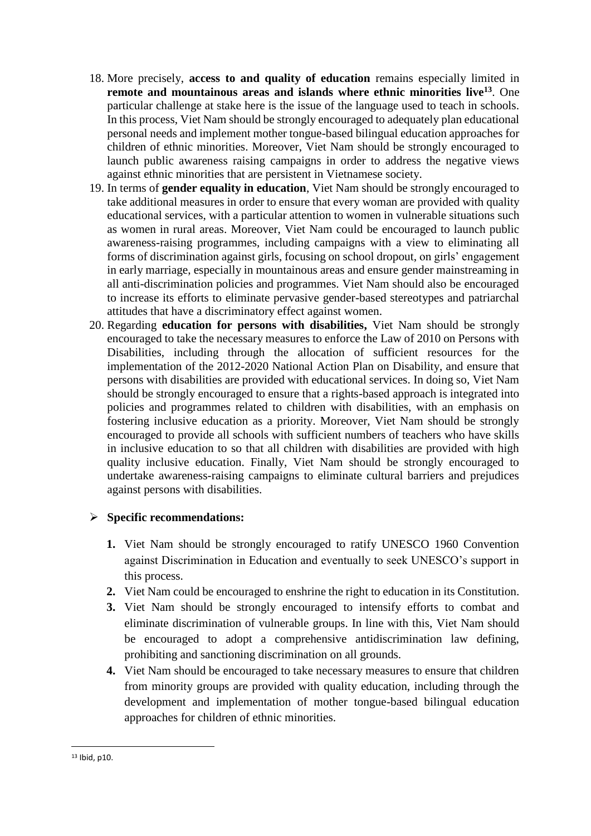- 18. More precisely, **access to and quality of education** remains especially limited in **remote and mountainous areas and islands where ethnic minorities live<sup>13</sup>**. One particular challenge at stake here is the issue of the language used to teach in schools. In this process, Viet Nam should be strongly encouraged to adequately plan educational personal needs and implement mother tongue-based bilingual education approaches for children of ethnic minorities. Moreover, Viet Nam should be strongly encouraged to launch public awareness raising campaigns in order to address the negative views against ethnic minorities that are persistent in Vietnamese society.
- 19. In terms of **gender equality in education**, Viet Nam should be strongly encouraged to take additional measures in order to ensure that every woman are provided with quality educational services, with a particular attention to women in vulnerable situations such as women in rural areas. Moreover, Viet Nam could be encouraged to launch public awareness-raising programmes, including campaigns with a view to eliminating all forms of discrimination against girls, focusing on school dropout, on girls' engagement in early marriage, especially in mountainous areas and ensure gender mainstreaming in all anti-discrimination policies and programmes. Viet Nam should also be encouraged to increase its efforts to eliminate pervasive gender-based stereotypes and patriarchal attitudes that have a discriminatory effect against women.
- 20. Regarding **education for persons with disabilities,** Viet Nam should be strongly encouraged to take the necessary measures to enforce the Law of 2010 on Persons with Disabilities, including through the allocation of sufficient resources for the implementation of the 2012-2020 National Action Plan on Disability, and ensure that persons with disabilities are provided with educational services. In doing so, Viet Nam should be strongly encouraged to ensure that a rights-based approach is integrated into policies and programmes related to children with disabilities, with an emphasis on fostering inclusive education as a priority. Moreover, Viet Nam should be strongly encouraged to provide all schools with sufficient numbers of teachers who have skills in inclusive education to so that all children with disabilities are provided with high quality inclusive education. Finally, Viet Nam should be strongly encouraged to undertake awareness-raising campaigns to eliminate cultural barriers and prejudices against persons with disabilities.

## **Specific recommendations:**

- **1.** Viet Nam should be strongly encouraged to ratify UNESCO 1960 Convention against Discrimination in Education and eventually to seek UNESCO's support in this process.
- **2.** Viet Nam could be encouraged to enshrine the right to education in its Constitution.
- **3.** Viet Nam should be strongly encouraged to intensify efforts to combat and eliminate discrimination of vulnerable groups. In line with this, Viet Nam should be encouraged to adopt a comprehensive antidiscrimination law defining, prohibiting and sanctioning discrimination on all grounds.
- **4.** Viet Nam should be encouraged to take necessary measures to ensure that children from minority groups are provided with quality education, including through the development and implementation of mother tongue-based bilingual education approaches for children of ethnic minorities.

**.** 

<sup>13</sup> Ibid, p10.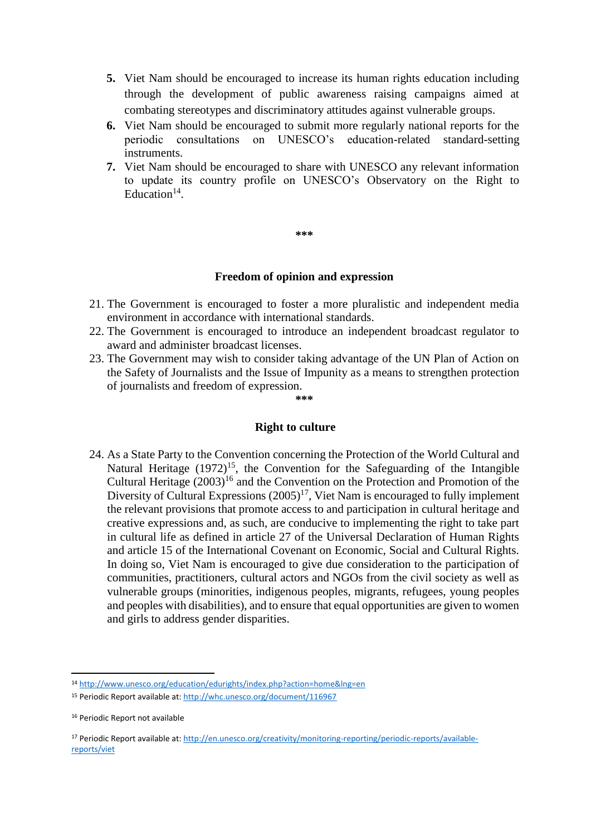- **5.** Viet Nam should be encouraged to increase its human rights education including through the development of public awareness raising campaigns aimed at combating stereotypes and discriminatory attitudes against vulnerable groups.
- **6.** Viet Nam should be encouraged to submit more regularly national reports for the periodic consultations on UNESCO's education-related standard-setting instruments.
- **7.** Viet Nam should be encouraged to share with UNESCO any relevant information to update its country profile on UNESCO's Observatory on the Right to Education $14$ .

#### **\*\*\***

#### **Freedom of opinion and expression**

- 21. The Government is encouraged to foster a more pluralistic and independent media environment in accordance with international standards.
- 22. The Government is encouraged to introduce an independent broadcast regulator to award and administer broadcast licenses.
- 23. The Government may wish to consider taking advantage of the UN Plan of Action on the Safety of Journalists and the Issue of Impunity as a means to strengthen protection of journalists and freedom of expression.

**\*\*\***

#### **Right to culture**

24. As a State Party to the Convention concerning the Protection of the World Cultural and Natural Heritage  $(1972)^{15}$ , the Convention for the Safeguarding of the Intangible Cultural Heritage  $(2003)^{16}$  and the Convention on the Protection and Promotion of the Diversity of Cultural Expressions  $(2005)^{17}$ , Viet Nam is encouraged to fully implement the relevant provisions that promote access to and participation in cultural heritage and creative expressions and, as such, are conducive to implementing the right to take part in cultural life as defined in article 27 of the Universal Declaration of Human Rights and article 15 of the International Covenant on Economic, Social and Cultural Rights. In doing so, Viet Nam is encouraged to give due consideration to the participation of communities, practitioners, cultural actors and NGOs from the civil society as well as vulnerable groups (minorities, indigenous peoples, migrants, refugees, young peoples and peoples with disabilities), and to ensure that equal opportunities are given to women and girls to address gender disparities.

**.** 

<sup>14</sup> <http://www.unesco.org/education/edurights/index.php?action=home&lng=en>

<sup>15</sup> Periodic Report available at:<http://whc.unesco.org/document/116967>

<sup>&</sup>lt;sup>16</sup> Periodic Report not available

<sup>17</sup> Periodic Report available at: [http://en.unesco.org/creativity/monitoring-reporting/periodic-reports/available](http://en.unesco.org/creativity/monitoring-reporting/periodic-reports/available-reports/viet)[reports/viet](http://en.unesco.org/creativity/monitoring-reporting/periodic-reports/available-reports/viet)